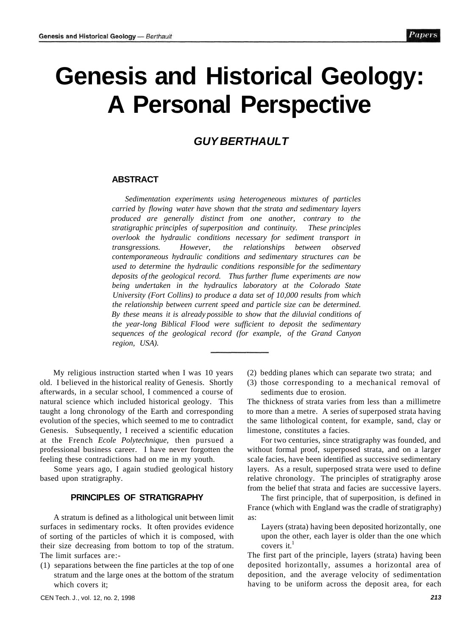# **Genesis and Historical Geology: A Personal Perspective**

# **GUY BERTHAULT**

#### **ABSTRACT**

*Sedimentation experiments using heterogeneous mixtures of particles carried by flowing water have shown that the strata and sedimentary layers produced are generally distinct from one another, contrary to the stratigraphic principles of superposition and continuity. These principles overlook the hydraulic conditions necessary for sediment transport in transgressions. However, the relationships between observed contemporaneous hydraulic conditions and sedimentary structures can be used to determine the hydraulic conditions responsible for the sedimentary deposits of the geological record. Thus further flume experiments are now being undertaken in the hydraulics laboratory at the Colorado State University (Fort Collins) to produce a data set of 10,000 results from which the relationship between current speed and particle size can be determined. By these means it is already possible to show that the diluvial conditions of the year-long Biblical Flood were sufficient to deposit the sedimentary sequences of the geological record (for example, of the Grand Canyon region, USA).* 

My religious instruction started when I was 10 years old. I believed in the historical reality of Genesis. Shortly afterwards, in a secular school, I commenced a course of natural science which included historical geology. This taught a long chronology of the Earth and corresponding evolution of the species, which seemed to me to contradict Genesis. Subsequently, I received a scientific education at the French *Ecole Polytechnique,* then pursued a professional business career. I have never forgotten the feeling these contradictions had on me in my youth.

Some years ago, I again studied geological history based upon stratigraphy.

# **PRINCIPLES OF STRATIGRAPHY**

A stratum is defined as a lithological unit between limit surfaces in sedimentary rocks. It often provides evidence of sorting of the particles of which it is composed, with their size decreasing from bottom to top of the stratum. The limit surfaces are:-

(1) separations between the fine particles at the top of one stratum and the large ones at the bottom of the stratum which covers it;

- (2) bedding planes which can separate two strata; and
- (3) those corresponding to a mechanical removal of sediments due to erosion.

The thickness of strata varies from less than a millimetre to more than a metre. A series of superposed strata having the same lithological content, for example, sand, clay or limestone, constitutes a facies.

For two centuries, since stratigraphy was founded, and without formal proof, superposed strata, and on a larger scale facies, have been identified as successive sedimentary layers. As a result, superposed strata were used to define relative chronology. The principles of stratigraphy arose from the belief that strata and facies are successive layers.

The first principle, that of superposition, is defined in France (which with England was the cradle of stratigraphy) as:

Layers (strata) having been deposited horizontally, one upon the other, each layer is older than the one which covers it. $<sup>1</sup>$ </sup>

The first part of the principle, layers (strata) having been deposited horizontally, assumes a horizontal area of deposition, and the average velocity of sedimentation having to be uniform across the deposit area, for each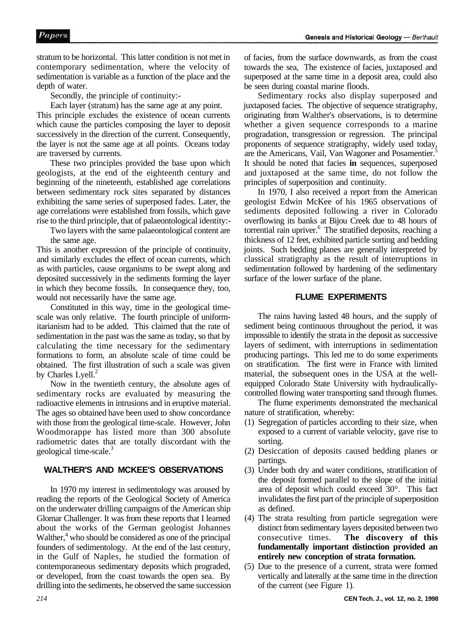stratum to be horizontal. This latter condition is not met in contemporary sedimentation, where the velocity of sedimentation is variable as a function of the place and the depth of water.

Secondly, the principle of continuity:-

Each layer (stratum) has the same age at any point.

This principle excludes the existence of ocean currents which cause the particles composing the layer to deposit successively in the direction of the current. Consequently, the layer is not the same age at all points. Oceans today are traversed by currents.

These two principles provided the base upon which geologists, at the end of the eighteenth century and beginning of the nineteenth, established age correlations between sedimentary rock sites separated by distances exhibiting the same series of superposed fades. Later, the age correlations were established from fossils, which gave rise to the third principle, that of palaeontological identity:-

Two layers with the same palaeontological content are the same age.

This is another expression of the principle of continuity, and similarly excludes the effect of ocean currents, which as with particles, cause organisms to be swept along and deposited successively in the sediments forming the layer in which they become fossils. In consequence they, too, would not necessarily have the same age.

Constituted in this way, time in the geological timescale was only relative. The fourth principle of uniformitarianism had to be added. This claimed that the rate of sedimentation in the past was the same as today, so that by calculating the time necessary for the sedimentary formations to form, an absolute scale of time could be obtained. The first illustration of such a scale was given by Charles Lyell. $<sup>2</sup>$ </sup>

Now in the twentieth century, the absolute ages of sedimentary rocks are evaluated by measuring the radioactive elements in intrusions and in eruptive material. The ages so obtained have been used to show concordance with those from the geological time-scale. However, John Woodmorappe has listed more than 300 absolute radiometric dates that are totally discordant with the geological time-scale.<sup>3</sup>

# **WALTHER'S AND MCKEE'S OBSERVATIONS**

In 1970 my interest in sedimentology was aroused by reading the reports of the Geological Society of America on the underwater drilling campaigns of the American ship Glomar Challenger. It was from these reports that I learned about the works of the German geologist Johannes Walther,<sup>4</sup> who should be considered as one of the principal founders of sedimentology. At the end of the last century, in the Gulf of Naples, he studied the formation of contemporaneous sedimentary deposits which prograded, or developed, from the coast towards the open sea. By drilling into the sediments, he observed the same succession of facies, from the surface downwards, as from the coast towards the sea, The existence of facies, juxtaposed and superposed at the same time in a deposit area, could also be seen during coastal marine floods.

Sedimentary rocks also display superposed and juxtaposed facies. The objective of sequence stratigraphy, originating from Walther's observations, is to determine whether a given sequence corresponds to a marine progradation, transgression or regression. The principal proponents of sequence stratigraphy, widely used today, are the Americans, Vail, Van Wagoner and Posamentier.<sup>5</sup> It should be noted that facies **in** sequences, superposed and juxtaposed at the same time, do not follow the principles of superposition and continuity.

In 1970, I also received a report from the American geologist Edwin McKee of his 1965 observations of sediments deposited following a river in Colorado overflowing its banks at Bijou Creek due to 48 hours of torrential rain upriver.<sup>6</sup> The stratified deposits, reaching a thickness of 12 feet, exhibited particle sorting and bedding joints. Such bedding planes are generally interpreted by classical stratigraphy as the result of interruptions in sedimentation followed by hardening of the sedimentary surface of the lower surface of the plane.

### **FLUME EXPERIMENTS**

The rains having lasted 48 hours, and the supply of sediment being continuous throughout the period, it was impossible to identify the strata in the deposit as successive layers of sediment, with interruptions in sedimentation producing partings. This led me to do some experiments on stratification. The first were in France with limited material, the subsequent ones in the USA at the wellequipped Colorado State University with hydraulicallycontrolled flowing water transporting sand through flumes.

The flume experiments demonstrated the mechanical nature of stratification, whereby:

- (1) Segregation of particles according to their size, when exposed to a current of variable velocity, gave rise to sorting.
- (2) Desiccation of deposits caused bedding planes or partings.
- (3) Under both dry and water conditions, stratification of the deposit formed parallel to the slope of the initial area of deposit which could exceed 30°. This fact invalidates the first part of the principle of superposition as defined.
- (4) The strata resulting from particle segregation were distinct from sedimentary layers deposited between two consecutive times. **The discovery of this fundamentally important distinction provided an entirely new conception of strata formation.**
- (5) Due to the presence of a current, strata were formed vertically and laterally at the same time in the direction of the current (see Figure 1).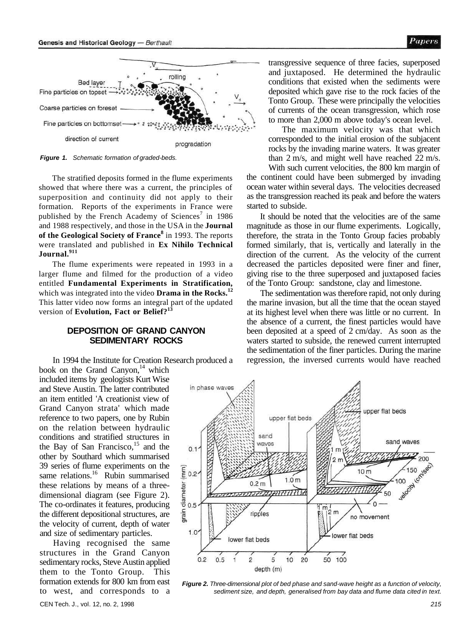

**Figure 1.** Schematic formation of graded-beds.

The stratified deposits formed in the flume experiments showed that where there was a current, the principles of superposition and continuity did not apply to their formation. Reports of the experiments in France were published by the French Academy of Sciences<sup>7</sup> in 1986 and 1988 respectively, and those in the USA in the **Journal of the Geological Society of France<sup>8</sup>** in 1993. The reports were translated and published in **Ex Nihilo Technical Journal.<sup>911</sup>**

The flume experiments were repeated in 1993 in a larger flume and filmed for the production of a video entitled **Fundamental Experiments in Stratification,**  which was integrated into the video **Drama in the Rocks.<sup>12</sup>** This latter video now forms an integral part of the updated version of **Evolution, Fact or Belief?<sup>13</sup>**

#### **DEPOSITION OF GRAND CANYON SEDIMENTARY ROCKS**

In 1994 the Institute for Creation Research produced a book on the Grand Canyon, $14$  which

included items by geologists Kurt Wise and Steve Austin. The latter contributed an item entitled 'A creationist view of Grand Canyon strata' which made reference to two papers, one by Rubin on the relation between hydraulic conditions and stratified structures in the Bay of San Francisco, $15$  and the other by Southard which summarised 39 series of flume experiments on the same relations.<sup>16</sup> Rubin summarised these relations by means of a threedimensional diagram (see Figure 2). The co-ordinates it features, producing the different depositional structures, are the velocity of current, depth of water and size of sedimentary particles.

Having recognised the same structures in the Grand Canyon sedimentary rocks, Steve Austin applied them to the Tonto Group. This formation extends for 800 km from east to west, and corresponds to a

transgressive sequence of three facies, superposed and juxtaposed. He determined the hydraulic conditions that existed when the sediments were deposited which gave rise to the rock facies of the Tonto Group. These were principally the velocities of currents of the ocean transgression, which rose to more than 2,000 m above today's ocean level.

The maximum velocity was that which corresponded to the initial erosion of the subjacent rocks by the invading marine waters. It was greater than 2 m/s, and might well have reached 22 m/s. With such current velocities, the 800 km margin of

the continent could have been submerged by invading ocean water within several days. The velocities decreased as the transgression reached its peak and before the waters started to subside.

It should be noted that the velocities are of the same magnitude as those in our flume experiments. Logically, therefore, the strata in the Tonto Group facies probably formed similarly, that is, vertically and laterally in the direction of the current. As the velocity of the current decreased the particles deposited were finer and finer, giving rise to the three superposed and juxtaposed facies of the Tonto Group: sandstone, clay and limestone.

The sedimentation was therefore rapid, not only during the marine invasion, but all the time that the ocean stayed at its highest level when there was little or no current. In the absence of a current, the finest particles would have been deposited at a speed of 2 cm/day. As soon as the waters started to subside, the renewed current interrupted the sedimentation of the finer particles. During the marine regression, the inversed currents would have reached



**Figure 2.** Three-dimensional plot of bed phase and sand-wave height as a function of velocity, sediment size, and depth, generalised from bay data and flume data cited in text.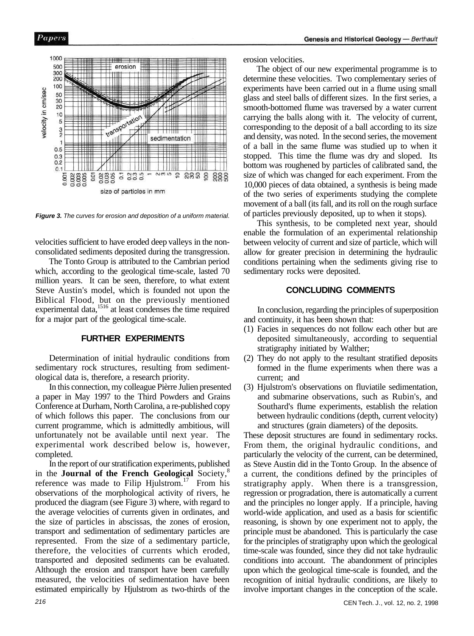

**Figure 3.** The curves for erosion and deposition of a uniform material.

velocities sufficient to have eroded deep valleys in the nonconsolidated sediments deposited during the transgression.

The Tonto Group is attributed to the Cambrian period which, according to the geological time-scale, lasted 70 million years. It can be seen, therefore, to what extent Steve Austin's model, which is founded not upon the Biblical Flood, but on the previously mentioned experimental data,<sup>1516</sup> at least condenses the time required for a major part of the geological time-scale.

#### **FURTHER EXPERIMENTS**

Determination of initial hydraulic conditions from sedimentary rock structures, resulting from sedimentological data is, therefore, a research priority.

In this connection, my colleague Pièrre Julien presented a paper in May 1997 to the Third Powders and Grains Conference at Durham, North Carolina, a re-published copy of which follows this paper. The conclusions from our current programme, which is admittedly ambitious, will unfortunately not be available until next year. The experimental work described below is, however, completed.

In the report of our stratification experiments, published in the **Journal of the French Geological** Society,<sup>8</sup> reference was made to Filip Hjulstrom.<sup>17</sup> From his observations of the morphological activity of rivers, he produced the diagram (see Figure 3) where, with regard to the average velocities of currents given in ordinates, and the size of particles in abscissas, the zones of erosion, transport and sedimentation of sedimentary particles are represented. From the size of a sedimentary particle, therefore, the velocities of currents which eroded, transported and deposited sediments can be evaluated. Although the erosion and transport have been carefully measured, the velocities of sedimentation have been estimated empirically by Hjulstrom as two-thirds of the

erosion velocities.

The object of our new experimental programme is to determine these velocities. Two complementary series of experiments have been carried out in a flume using small glass and steel balls of different sizes. In the first series, a smooth-bottomed flume was traversed by a water current carrying the balls along with it. The velocity of current, corresponding to the deposit of a ball according to its size and density, was noted. In the second series, the movement of a ball in the same flume was studied up to when it stopped. This time the flume was dry and sloped. Its bottom was roughened by particles of calibrated sand, the size of which was changed for each experiment. From the 10,000 pieces of data obtained, a synthesis is being made of the two series of experiments studying the complete movement of a ball (its fall, and its roll on the rough surface of particles previously deposited, up to when it stops).

This synthesis, to be completed next year, should enable the formulation of an experimental relationship between velocity of current and size of particle, which will allow for greater precision in determining the hydraulic conditions pertaining when the sediments giving rise to sedimentary rocks were deposited.

## **CONCLUDING COMMENTS**

In conclusion, regarding the principles of superposition and continuity, it has been shown that:

- (1) Facies in sequences do not follow each other but are deposited simultaneously, according to sequential stratigraphy initiated by Walther;
- (2) They do not apply to the resultant stratified deposits formed in the flume experiments when there was a current; and
- (3) Hjulstrom's observations on fluviatile sedimentation, and submarine observations, such as Rubin's, and Southard's flume experiments, establish the relation between hydraulic conditions (depth, current velocity) and structures (grain diameters) of the deposits.

These deposit structures are found in sedimentary rocks. From them, the original hydraulic conditions, and particularly the velocity of the current, can be determined, as Steve Austin did in the Tonto Group. In the absence of a current, the conditions defined by the principles of stratigraphy apply. When there is a transgression, regression or progradation, there is automatically a current and the principles no longer apply. If a principle, having world-wide application, and used as a basis for scientific reasoning, is shown by one experiment not to apply, the principle must be abandoned. This is particularly the case for the principles of stratigraphy upon which the geological time-scale was founded, since they did not take hydraulic conditions into account. The abandonment of principles upon which the geological time-scale is founded, and the recognition of initial hydraulic conditions, are likely to involve important changes in the conception of the scale.